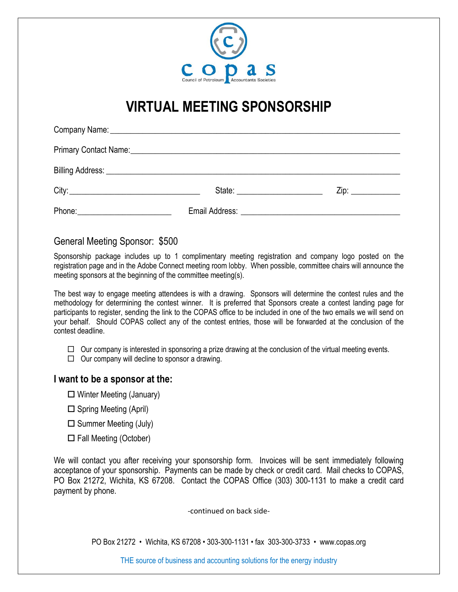

## **VIRTUAL MEETING SPONSORSHIP**

|                                       | State: <u>______________________</u><br>Zip: |
|---------------------------------------|----------------------------------------------|
| Phone: ______________________________ |                                              |

## General Meeting Sponsor: \$500

Sponsorship package includes up to 1 complimentary meeting registration and company logo posted on the registration page and in the Adobe Connect meeting room lobby. When possible, committee chairs will announce the meeting sponsors at the beginning of the committee meeting(s).

The best way to engage meeting attendees is with a drawing. Sponsors will determine the contest rules and the methodology for determining the contest winner. It is preferred that Sponsors create a contest landing page for participants to register, sending the link to the COPAS office to be included in one of the two emails we will send on your behalf. Should COPAS collect any of the contest entries, those will be forwarded at the conclusion of the contest deadline.

 $\Box$  Our company is interested in sponsoring a prize drawing at the conclusion of the virtual meeting events.

 $\Box$  Our company will decline to sponsor a drawing.

## **I want to be a sponsor at the:**

- $\Box$  Winter Meeting (January)
- $\square$  Spring Meeting (April)
- $\square$  Summer Meeting (July)
- $\Box$  Fall Meeting (October)

We will contact you after receiving your sponsorship form. Invoices will be sent immediately following acceptance of your sponsorship. Payments can be made by check or credit card. Mail checks to COPAS, PO Box 21272, Wichita, KS 67208. Contact the COPAS Office (303) 300-1131 to make a credit card payment by phone.

-continued on back side-

PO Box 21272 • Wichita, KS 67208 • 303-300-1131 • fax 303-300-3733 • www.copas.org

THE source of business and accounting solutions for the energy industry